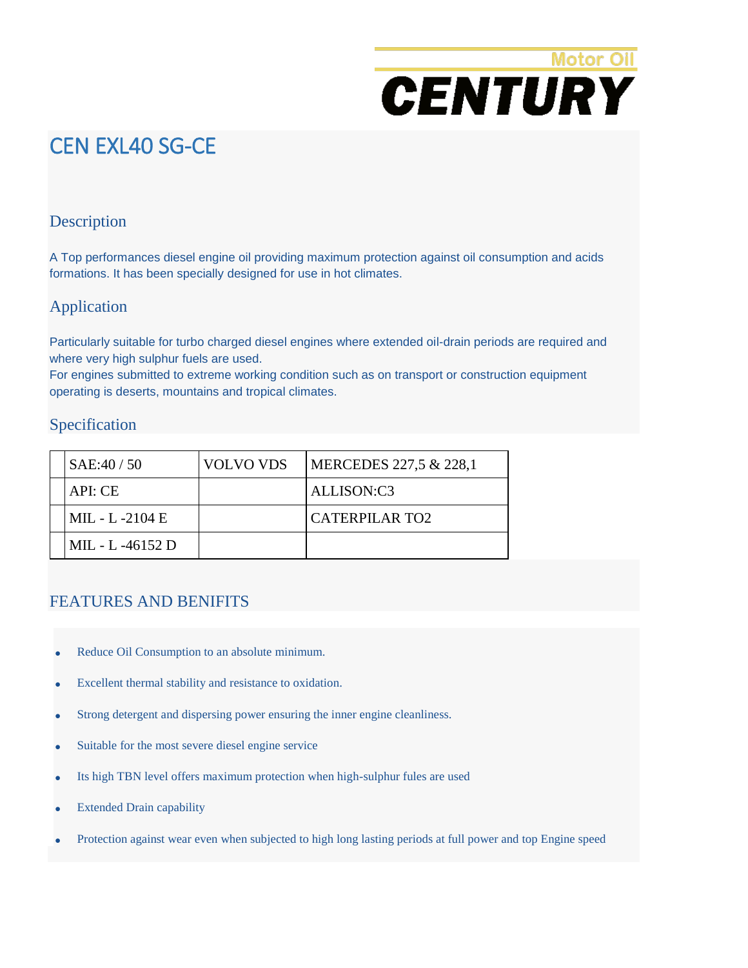# **Motor Oil CENTURY**

# CEN EXL40 SG-CE

### Description

A Top performances diesel engine oil providing maximum protection against oil consumption and acids formations. It has been specially designed for use in hot climates.

### Application

Particularly suitable for turbo charged diesel engines where extended oil-drain periods are required and where very high sulphur fuels are used.

For engines submitted to extreme working condition such as on transport or construction equipment operating is deserts, mountains and tropical climates.

#### Specification

| SAE:40 / 50      | <b>VOLVO VDS</b> | MERCEDES 227,5 & 228,1 |
|------------------|------------------|------------------------|
| API: CE          |                  | ALLISON:C3             |
| MIL - L -2104 E  |                  | <b>CATERPILAR TO2</b>  |
| MIL - L -46152 D |                  |                        |

#### FEATURES AND BENIFITS

- Reduce Oil Consumption to an absolute minimum.
- Excellent thermal stability and resistance to oxidation.
- Strong detergent and dispersing power ensuring the inner engine cleanliness.
- Suitable for the most severe diesel engine service
- Its high TBN level offers maximum protection when high-sulphur fules are used
- Extended Drain capability
- Protection against wear even when subjected to high long lasting periods at full power and top Engine speed